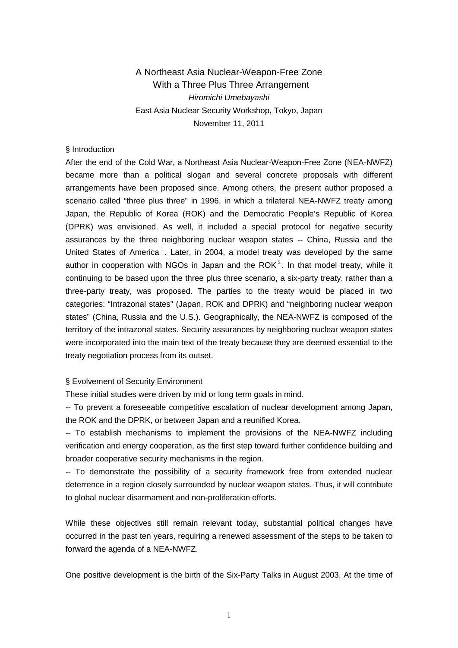# A Northeast Asia Nuclear-Weapon-Free Zone With a Three Plus Three Arrangement *Hiromichi Umebayashi* East Asia Nuclear Security Workshop, Tokyo, Japan November 11, 2011

### § Introduction

After the end of the Cold War, a Northeast Asia Nuclear-Weapon-Free Zone (NEA-NWFZ) became more than a political slogan and several concrete proposals with different arrangements have been proposed since. Among others, the present author proposed a scenario called "three plus three" in 1996, in which a trilateral NEA-NWFZ treaty among Japan, the Republic of Korea (ROK) and the Democratic People's Republic of Korea (DPRK) was envisioned. As well, it included a special protocol for negative security assurances by the three neighboring nuclear weapon states -- China, Russia and the United States of America<sup>[1](#page-5-0)</sup>. Later, in 2004, a model treaty was developed by the same author in cooperation with NGOs in Japan and the ROK $^2$  $^2$ . In that model treaty, while it continuing to be based upon the three plus three scenario, a six-party treaty, rather than a three-party treaty, was proposed. The parties to the treaty would be placed in two categories: "Intrazonal states" (Japan, ROK and DPRK) and "neighboring nuclear weapon states" (China, Russia and the U.S.). Geographically, the NEA-NWFZ is composed of the territory of the intrazonal states. Security assurances by neighboring nuclear weapon states were incorporated into the main text of the treaty because they are deemed essential to the treaty negotiation process from its outset.

### § Evolvement of Security Environment

These initial studies were driven by mid or long term goals in mind.

-- To prevent a foreseeable competitive escalation of nuclear development among Japan, the ROK and the DPRK, or between Japan and a reunified Korea.

-- To establish mechanisms to implement the provisions of the NEA-NWFZ including verification and energy cooperation, as the first step toward further confidence building and broader cooperative security mechanisms in the region.

-- To demonstrate the possibility of a security framework free from extended nuclear deterrence in a region closely surrounded by nuclear weapon states. Thus, it will contribute to global nuclear disarmament and non-proliferation efforts.

While these objectives still remain relevant today, substantial political changes have occurred in the past ten years, requiring a renewed assessment of the steps to be taken to forward the agenda of a NEA-NWFZ.

One positive development is the birth of the Six-Party Talks in August 2003. At the time of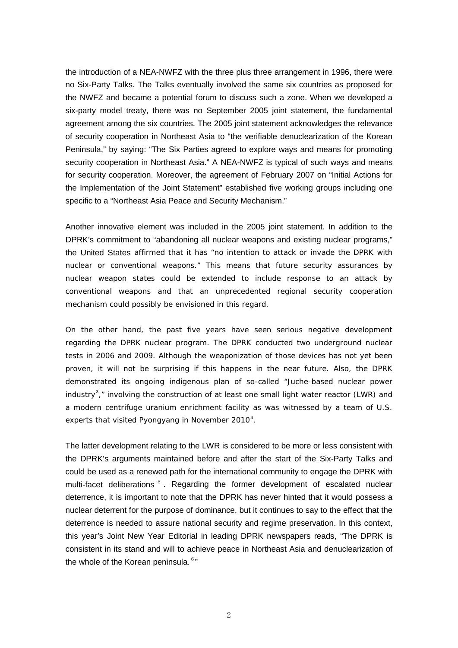the introduction of a NEA-NWFZ with the three plus three arrangement in 1996, there were no Six-Party Talks. The Talks eventually involved the same six countries as proposed for the NWFZ and became a potential forum to discuss such a zone. When we developed a six-party model treaty, there was no September 2005 joint statement, the fundamental agreement among the six countries. The 2005 joint statement acknowledges the relevance of security cooperation in Northeast Asia to "the verifiable denuclearization of the Korean Peninsula," by saying: "The Six Parties agreed to explore ways and means for promoting security cooperation in Northeast Asia." A NEA-NWFZ is typical of such ways and means for security cooperation. Moreover, the agreement of February 2007 on "Initial Actions for the Implementation of the Joint Statement" established five working groups including one specific to a "Northeast Asia Peace and Security Mechanism."

Another innovative element was included in the 2005 joint statement. In addition to the DPRK's commitment to "abandoning all nuclear weapons and existing nuclear programs," the United States affirmed that it has "no intention to attack or invade the DPRK with nuclear or conventional weapons." This means that future security assurances by nuclear weapon states could be extended to include response to an attack by conventional weapons and that an unprecedented regional security cooperation mechanism could possibly be envisioned in this regard.

On the other hand, the past five years have seen serious negative development regarding the DPRK nuclear program. The DPRK conducted two underground nuclear tests in 2006 and 2009. Although the weaponization of those devices has not yet been proven, it will not be surprising if this happens in the near future. Also, the DPRK demonstrated its ongoing indigenous plan of so-called "Juche-based nuclear power industry<sup>[3](#page-5-2)</sup>," involving the construction of at least one small light water reactor (LWR) and a modern centrifuge uranium enrichment facility as was witnessed by a team of U.S. experts that visited Pyongyang in November 2010 $4$ .

The latter development relating to the LWR is considered to be more or less consistent with the DPRK's arguments maintained before and after the start of the Six-Party Talks and could be used as a renewed path for the international community to engage the DPRK with multi-facet deliberations  $5$ . Regarding the former development of escalated nuclear deterrence, it is important to note that the DPRK has never hinted that it would possess a nuclear deterrent for the purpose of dominance, but it continues to say to the effect that the deterrence is needed to assure national security and regime preservation. In this context, this year's Joint New Year Editorial in leading DPRK newspapers reads, "The DPRK is consistent in its stand and will to achieve peace in Northeast Asia and denuclearization of the whole of the Korean peninsula.  $6"$  $6"$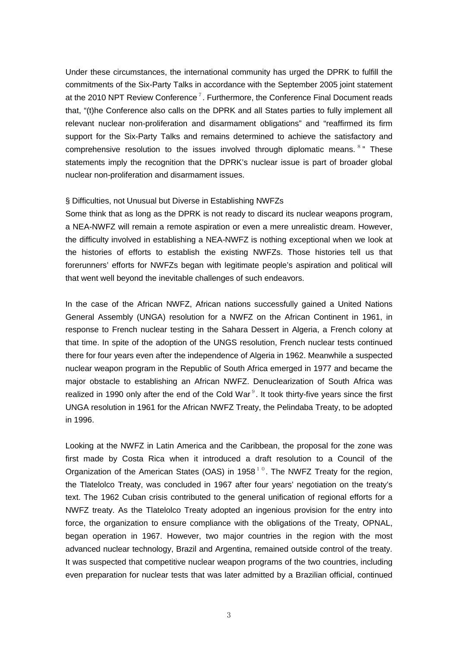Under these circumstances, the international community has urged the DPRK to fulfill the commitments of the Six-Party Talks in accordance with the September 2005 joint statement at the 2010 NPT Review Conference<sup>[7](#page-5-6)</sup>. Furthermore, the Conference Final Document reads that, "(t)he Conference also calls on the DPRK and all States parties to fully implement all relevant nuclear non-proliferation and disarmament obligations" and "reaffirmed its firm support for the Six-Party Talks and remains determined to achieve the satisfactory and comprehensive resolution to the issues involved through diplomatic means. <sup>[8](#page-5-7)</sup> " These statements imply the recognition that the DPRK's nuclear issue is part of broader global nuclear non-proliferation and disarmament issues.

### § Difficulties, not Unusual but Diverse in Establishing NWFZs

Some think that as long as the DPRK is not ready to discard its nuclear weapons program, a NEA-NWFZ will remain a remote aspiration or even a mere unrealistic dream. However, the difficulty involved in establishing a NEA-NWFZ is nothing exceptional when we look at the histories of efforts to establish the existing NWFZs. Those histories tell us that forerunners' efforts for NWFZs began with legitimate people's aspiration and political will that went well beyond the inevitable challenges of such endeavors.

In the case of the African NWFZ, African nations successfully gained a United Nations General Assembly (UNGA) resolution for a NWFZ on the African Continent in 1961, in response to French nuclear testing in the Sahara Dessert in Algeria, a French colony at that time. In spite of the adoption of the UNGS resolution, French nuclear tests continued there for four years even after the independence of Algeria in 1962. Meanwhile a suspected nuclear weapon program in the Republic of South Africa emerged in 1977 and became the major obstacle to establishing an African NWFZ. Denuclearization of South Africa was realized in 1[9](#page-5-8)90 only after the end of the Cold War $<sup>9</sup>$ . It took thirty-five years since the first</sup> UNGA resolution in 1961 for the African NWFZ Treaty, the Pelindaba Treaty, to be adopted in 1996.

Looking at the NWFZ in Latin America and the Caribbean, the proposal for the zone was first made by Costa Rica when it introduced a draft resolution to a Council of the Organization of the American States (OAS) in 1958<sup>[10](#page-5-9)</sup>. The NWFZ Treaty for the region, the Tlatelolco Treaty, was concluded in 1967 after four years' negotiation on the treaty's text. The 1962 Cuban crisis contributed to the general unification of regional efforts for a NWFZ treaty. As the Tlatelolco Treaty adopted an ingenious provision for the entry into force, the organization to ensure compliance with the obligations of the Treaty, OPNAL, began operation in 1967. However, two major countries in the region with the most advanced nuclear technology, Brazil and Argentina, remained outside control of the treaty. It was suspected that competitive nuclear weapon programs of the two countries, including even preparation for nuclear tests that was later admitted by a Brazilian official, continued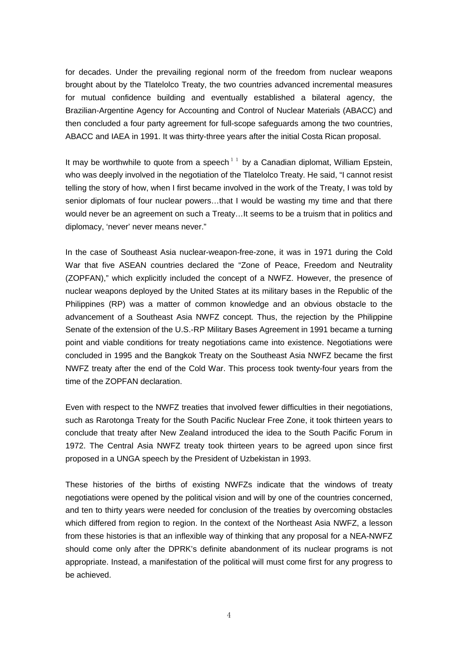for decades. Under the prevailing regional norm of the freedom from nuclear weapons brought about by the Tlatelolco Treaty, the two countries advanced incremental measures for mutual confidence building and eventually established a bilateral agency, the Brazilian-Argentine Agency for Accounting and Control of Nuclear Materials (ABACC) and then concluded a four party agreement for full-scope safeguards among the two countries, ABACC and IAEA in 1991. It was thirty-three years after the initial Costa Rican proposal.

It may be worthwhile to quote from a speech  $11$  by a Canadian diplomat, William Epstein, who was deeply involved in the negotiation of the Tlatelolco Treaty. He said, "I cannot resist telling the story of how, when I first became involved in the work of the Treaty, I was told by senior diplomats of four nuclear powers…that I would be wasting my time and that there would never be an agreement on such a Treaty…It seems to be a truism that in politics and diplomacy, 'never' never means never."

In the case of Southeast Asia nuclear-weapon-free-zone, it was in 1971 during the Cold War that five ASEAN countries declared the "Zone of Peace, Freedom and Neutrality (ZOPFAN)," which explicitly included the concept of a NWFZ. However, the presence of nuclear weapons deployed by the United States at its military bases in the Republic of the Philippines (RP) was a matter of common knowledge and an obvious obstacle to the advancement of a Southeast Asia NWFZ concept. Thus, the rejection by the Philippine Senate of the extension of the U.S.-RP Military Bases Agreement in 1991 became a turning point and viable conditions for treaty negotiations came into existence. Negotiations were concluded in 1995 and the Bangkok Treaty on the Southeast Asia NWFZ became the first NWFZ treaty after the end of the Cold War. This process took twenty-four years from the time of the ZOPFAN declaration.

Even with respect to the NWFZ treaties that involved fewer difficulties in their negotiations, such as Rarotonga Treaty for the South Pacific Nuclear Free Zone, it took thirteen years to conclude that treaty after New Zealand introduced the idea to the South Pacific Forum in 1972. The Central Asia NWFZ treaty took thirteen years to be agreed upon since first proposed in a UNGA speech by the President of Uzbekistan in 1993.

These histories of the births of existing NWFZs indicate that the windows of treaty negotiations were opened by the political vision and will by one of the countries concerned, and ten to thirty years were needed for conclusion of the treaties by overcoming obstacles which differed from region to region. In the context of the Northeast Asia NWFZ, a lesson from these histories is that an inflexible way of thinking that any proposal for a NEA-NWFZ should come only after the DPRK's definite abandonment of its nuclear programs is not appropriate. Instead, a manifestation of the political will must come first for any progress to be achieved.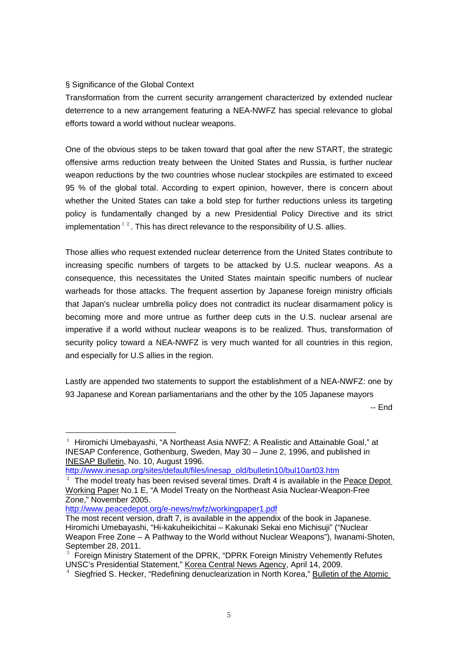## § Significance of the Global Context

Transformation from the current security arrangement characterized by extended nuclear deterrence to a new arrangement featuring a NEA-NWFZ has special relevance to global efforts toward a world without nuclear weapons.

One of the obvious steps to be taken toward that goal after the new START, the strategic offensive arms reduction treaty between the United States and Russia, is further nuclear weapon reductions by the two countries whose nuclear stockpiles are estimated to exceed 95 % of the global total. According to expert opinion, however, there is concern about whether the United States can take a bold step for further reductions unless its targeting policy is fundamentally changed by a new Presidential Policy Directive and its strict implementation  $1^2$ . This has direct relevance to the responsibility of U.S. allies.

Those allies who request extended nuclear deterrence from the United States contribute to increasing specific numbers of targets to be attacked by U.S. nuclear weapons. As a consequence, this necessitates the United States maintain specific numbers of nuclear warheads for those attacks. The frequent assertion by Japanese foreign ministry officials that Japan's nuclear umbrella policy does not contradict its nuclear disarmament policy is becoming more and more untrue as further deep cuts in the U.S. nuclear arsenal are imperative if a world without nuclear weapons is to be realized. Thus, transformation of security policy toward a NEA-NWFZ is very much wanted for all countries in this region, and especially for U.S allies in the region.

Lastly are appended two statements to support the establishment of a NEA-NWFZ: one by 93 Japanese and Korean parliamentarians and the other by the 105 Japanese mayors

-- End

-

<sup>&</sup>lt;sup>1</sup> Hiromichi Umebayashi, "A Northeast Asia NWFZ: A Realistic and Attainable Goal," at INESAP Conference, Gothenburg, Sweden, May 30 – June 2, 1996, and published in INESAP Bulletin, No. 10, August 1996.

[http://www.inesap.org/sites/default/files/inesap\\_old/bulletin10/bul10art03.htm](http://www.inesap.org/sites/default/files/inesap_old/bulletin10/bul10art03.htm)

 $2$  The model treaty has been revised several times. Draft 4 is available in the Peace Depot Working Paper No.1 E, "A Model Treaty on the Northeast Asia Nuclear-Weapon-Free Zone," November 2005.

<http://www.peacedepot.org/e-news/nwfz/workingpaper1.pdf>

The most recent version, draft 7, is available in the appendix of the book in Japanese. Hiromichi Umebayashi, "Hi-kakuheikichitai – Kakunaki Sekai eno Michisuji" ("Nuclear Weapon Free Zone – A Pathway to the World without Nuclear Weapons"), Iwanami-Shoten,

September 28, 2011.<br><sup>3</sup> Foreign Ministry Statement of the DPRK, "DPRK Foreign Ministry Vehemently Refutes<br>UNSC's Presidential Statement," Korea Central News Agency, April 14, 2009.

 $4$  Siegfried S. Hecker, "Redefining denuclearization in North Korea," Bulletin of the Atomic